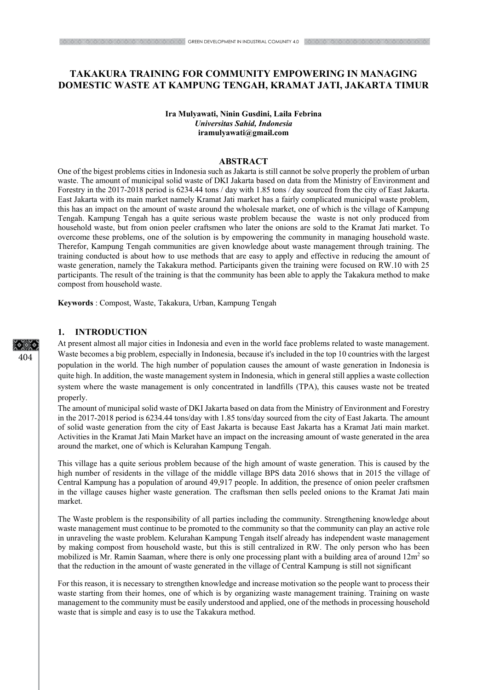# **TAKAKURA TRAINING FOR COMMUNITY EMPOWERING IN MANAGING DOMESTIC WASTE AT KAMPUNG TENGAH, KRAMAT JATI, JAKARTA TIMUR**

### **Ira Mulyawati, Ninin Gusdini, Laila Febrina** *Universitas Sahid, Indonesia*  **iramulyawati@gmail.com**

#### **ABSTRACT**

One of the bigest problems cities in Indonesia such as Jakarta is still cannot be solve properly the problem of urban waste. The amount of municipal solid waste of DKI Jakarta based on data from the Ministry of Environment and Forestry in the 2017-2018 period is 6234.44 tons / day with 1.85 tons / day sourced from the city of East Jakarta. East Jakarta with its main market namely Kramat Jati market has a fairly complicated municipal waste problem, this has an impact on the amount of waste around the wholesale market, one of which is the village of Kampung Tengah. Kampung Tengah has a quite serious waste problem because the waste is not only produced from household waste, but from onion peeler craftsmen who later the onions are sold to the Kramat Jati market. To overcome these problems, one of the solution is by empowering the community in managing household waste. Therefor, Kampung Tengah communities are given knowledge about waste management through training. The training conducted is about how to use methods that are easy to apply and effective in reducing the amount of waste generation, namely the Takakura method. Participants given the training were focused on RW.10 with 25 participants. The result of the training is that the community has been able to apply the Takakura method to make compost from household waste.

**Keywords** : Compost, Waste, Takakura, Urban, Kampung Tengah

# **1. INTRODUCTION**

At present almost all major cities in Indonesia and even in the world face problems related to waste management. Waste becomes a big problem, especially in Indonesia, because it's included in the top 10 countries with the largest population in the world. The high number of population causes the amount of waste generation in Indonesia is quite high. In addition, the waste management system in Indonesia, which in general still applies a waste collection system where the waste management is only concentrated in landfills (TPA), this causes waste not be treated properly.

The amount of municipal solid waste of DKI Jakarta based on data from the Ministry of Environment and Forestry in the 2017-2018 period is 6234.44 tons/day with 1.85 tons/day sourced from the city of East Jakarta. The amount of solid waste generation from the city of East Jakarta is because East Jakarta has a Kramat Jati main market. Activities in the Kramat Jati Main Market have an impact on the increasing amount of waste generated in the area around the market, one of which is Kelurahan Kampung Tengah.

This village has a quite serious problem because of the high amount of waste generation. This is caused by the high number of residents in the village of the middle village BPS data 2016 shows that in 2015 the village of Central Kampung has a population of around 49,917 people. In addition, the presence of onion peeler craftsmen in the village causes higher waste generation. The craftsman then sells peeled onions to the Kramat Jati main market.

The Waste problem is the responsibility of all parties including the community. Strengthening knowledge about waste management must continue to be promoted to the community so that the community can play an active role in unraveling the waste problem. Kelurahan Kampung Tengah itself already has independent waste management by making compost from household waste, but this is still centralized in RW. The only person who has been mobilized is Mr. Ramin Saaman, where there is only one processing plant with a building area of around  $12m^2$  so that the reduction in the amount of waste generated in the village of Central Kampung is still not significant

For this reason, it is necessary to strengthen knowledge and increase motivation so the people want to process their waste starting from their homes, one of which is by organizing waste management training. Training on waste management to the community must be easily understood and applied, one of the methods in processing household waste that is simple and easy is to use the Takakura method.

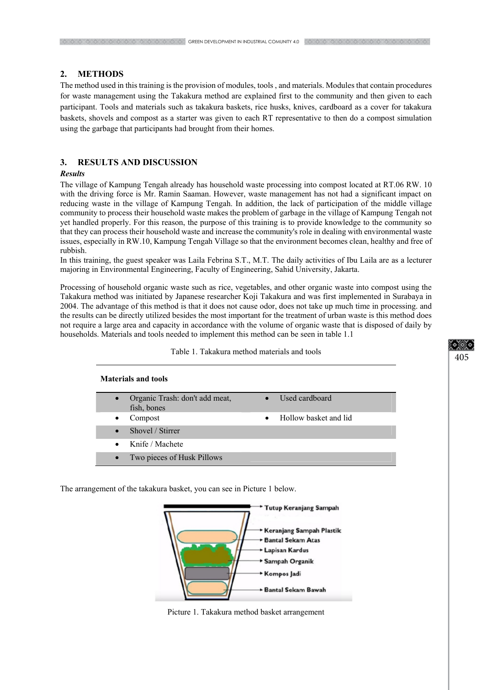## **2. METHODS**

The method used in this training is the provision of modules, tools , and materials. Modules that contain procedures for waste management using the Takakura method are explained first to the community and then given to each participant. Tools and materials such as takakura baskets, rice husks, knives, cardboard as a cover for takakura baskets, shovels and compost as a starter was given to each RT representative to then do a compost simulation using the garbage that participants had brought from their homes.

## **3. RESULTS AND DISCUSSION**

#### *Results*

The village of Kampung Tengah already has household waste processing into compost located at RT.06 RW. 10 with the driving force is Mr. Ramin Saaman. However, waste management has not had a significant impact on reducing waste in the village of Kampung Tengah. In addition, the lack of participation of the middle village community to process their household waste makes the problem of garbage in the village of Kampung Tengah not yet handled properly. For this reason, the purpose of this training is to provide knowledge to the community so that they can process their household waste and increase the community's role in dealing with environmental waste issues, especially in RW.10, Kampung Tengah Village so that the environment becomes clean, healthy and free of rubbish.

In this training, the guest speaker was Laila Febrina S.T., M.T. The daily activities of Ibu Laila are as a lecturer majoring in Environmental Engineering, Faculty of Engineering, Sahid University, Jakarta.

Processing of household organic waste such as rice, vegetables, and other organic waste into compost using the Takakura method was initiated by Japanese researcher Koji Takakura and was first implemented in Surabaya in 2004. The advantage of this method is that it does not cause odor, does not take up much time in processing. and the results can be directly utilized besides the most important for the treatment of urban waste is this method does not require a large area and capacity in accordance with the volume of organic waste that is disposed of daily by households. Materials and tools needed to implement this method can be seen in table 1.1

| Table 1. Takakura method materials and tools<br><b>Materials and tools</b> |                            |                                    |
|----------------------------------------------------------------------------|----------------------------|------------------------------------|
|                                                                            |                            |                                    |
| $\bullet$                                                                  | Compost                    | Hollow basket and lid<br>$\bullet$ |
| $\bullet$                                                                  | Shovel / Stirrer           |                                    |
| $\bullet$                                                                  | Knife / Machete            |                                    |
| $\bullet$                                                                  | Two pieces of Husk Pillows |                                    |

The arrangement of the takakura basket, you can see in Picture 1 below.



Picture 1. Takakura method basket arrangement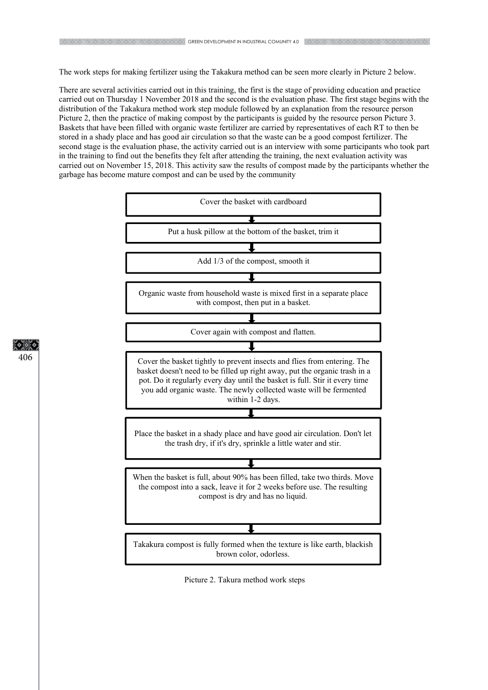The work steps for making fertilizer using the Takakura method can be seen more clearly in Picture 2 below.

There are several activities carried out in this training, the first is the stage of providing education and practice carried out on Thursday 1 November 2018 and the second is the evaluation phase. The first stage begins with the distribution of the Takakura method work step module followed by an explanation from the resource person Picture 2, then the practice of making compost by the participants is guided by the resource person Picture 3. Baskets that have been filled with organic waste fertilizer are carried by representatives of each RT to then be stored in a shady place and has good air circulation so that the waste can be a good compost fertilizer. The second stage is the evaluation phase, the activity carried out is an interview with some participants who took part in the training to find out the benefits they felt after attending the training, the next evaluation activity was carried out on November 15, 2018. This activity saw the results of compost made by the participants whether the garbage has become mature compost and can be used by the community



406

Picture 2. Takura method work steps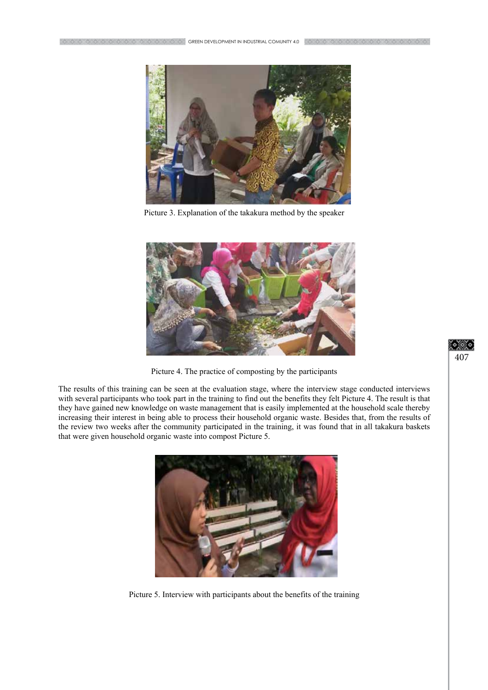

Picture 3. Explanation of the takakura method by the speaker



Picture 4. The practice of composting by the participants

The results of this training can be seen at the evaluation stage, where the interview stage conducted interviews with several participants who took part in the training to find out the benefits they felt Picture 4. The result is that they have gained new knowledge on waste management that is easily implemented at the household scale thereby increasing their interest in being able to process their household organic waste. Besides that, from the results of the review two weeks after the community participated in the training, it was found that in all takakura baskets that were given household organic waste into compost Picture 5.



Picture 5. Interview with participants about the benefits of the training